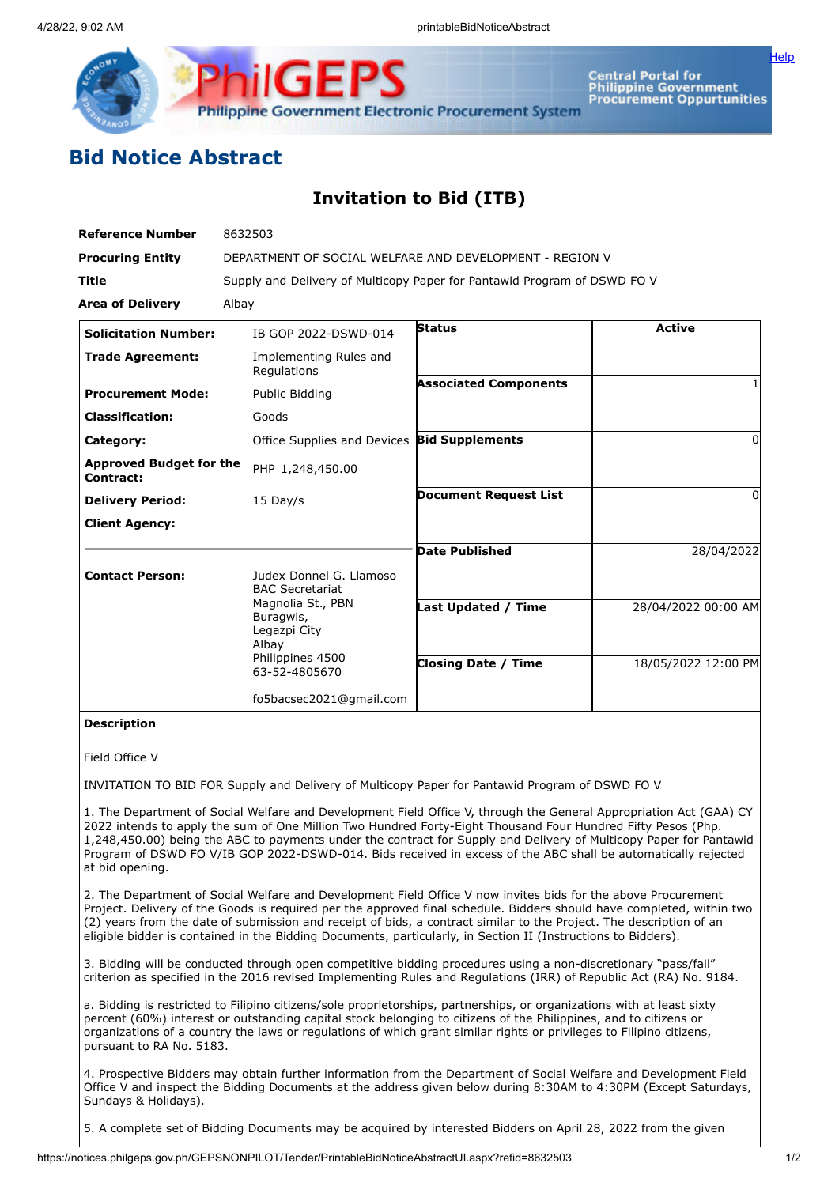

**Central Portal for** Central Portal for<br>Philippine Government<br>Procurement Oppurtunities

[Help](javascript:void(window.open()

# **Bid Notice Abstract**

## **Invitation to Bid (ITB)**

| <b>Reference Number</b>                     | 8632503                                                                                      |                              |                     |
|---------------------------------------------|----------------------------------------------------------------------------------------------|------------------------------|---------------------|
| <b>Procuring Entity</b>                     | DEPARTMENT OF SOCIAL WELFARE AND DEVELOPMENT - REGION V                                      |                              |                     |
| <b>Title</b>                                | Supply and Delivery of Multicopy Paper for Pantawid Program of DSWD FO V                     |                              |                     |
| <b>Area of Delivery</b>                     | Albay                                                                                        |                              |                     |
| <b>Solicitation Number:</b>                 | IB GOP 2022-DSWD-014                                                                         | <b>Status</b>                | <b>Active</b>       |
| <b>Trade Agreement:</b>                     | Implementing Rules and<br>Regulations                                                        |                              |                     |
| <b>Procurement Mode:</b>                    | Public Bidding                                                                               | <b>Associated Components</b> |                     |
| <b>Classification:</b>                      | Goods                                                                                        |                              |                     |
| Category:                                   | Office Supplies and Devices Bid Supplements                                                  |                              | 0                   |
| <b>Approved Budget for the</b><br>Contract: | PHP 1,248,450.00                                                                             |                              |                     |
| <b>Delivery Period:</b>                     | $15$ Day/s                                                                                   | <b>Document Request List</b> | 0                   |
| <b>Client Agency:</b>                       |                                                                                              |                              |                     |
|                                             |                                                                                              | <b>Date Published</b>        | 28/04/2022          |
| <b>Contact Person:</b>                      | Judex Donnel G. Llamoso<br><b>BAC Secretariat</b>                                            |                              |                     |
|                                             | Magnolia St., PBN<br>Buragwis,<br>Legazpi City<br>Albay<br>Philippines 4500<br>63-52-4805670 | <b>Last Updated / Time</b>   | 28/04/2022 00:00 AM |
|                                             |                                                                                              | <b>Closing Date / Time</b>   | 18/05/2022 12:00 PM |
|                                             | fo5bacsec2021@gmail.com                                                                      |                              |                     |

### **Description**

#### Field Office V

INVITATION TO BID FOR Supply and Delivery of Multicopy Paper for Pantawid Program of DSWD FO V

1. The Department of Social Welfare and Development Field Office V, through the General Appropriation Act (GAA) CY 2022 intends to apply the sum of One Million Two Hundred Forty-Eight Thousand Four Hundred Fifty Pesos (Php. 1,248,450.00) being the ABC to payments under the contract for Supply and Delivery of Multicopy Paper for Pantawid Program of DSWD FO V/IB GOP 2022-DSWD-014. Bids received in excess of the ABC shall be automatically rejected at bid opening.

2. The Department of Social Welfare and Development Field Office V now invites bids for the above Procurement Project. Delivery of the Goods is required per the approved final schedule. Bidders should have completed, within two (2) years from the date of submission and receipt of bids, a contract similar to the Project. The description of an eligible bidder is contained in the Bidding Documents, particularly, in Section II (Instructions to Bidders).

3. Bidding will be conducted through open competitive bidding procedures using a non-discretionary "pass/fail" criterion as specified in the 2016 revised Implementing Rules and Regulations (IRR) of Republic Act (RA) No. 9184.

a. Bidding is restricted to Filipino citizens/sole proprietorships, partnerships, or organizations with at least sixty percent (60%) interest or outstanding capital stock belonging to citizens of the Philippines, and to citizens or organizations of a country the laws or regulations of which grant similar rights or privileges to Filipino citizens, pursuant to RA No. 5183.

4. Prospective Bidders may obtain further information from the Department of Social Welfare and Development Field Office V and inspect the Bidding Documents at the address given below during 8:30AM to 4:30PM (Except Saturdays, Sundays & Holidays).

5. A complete set of Bidding Documents may be acquired by interested Bidders on April 28, 2022 from the given